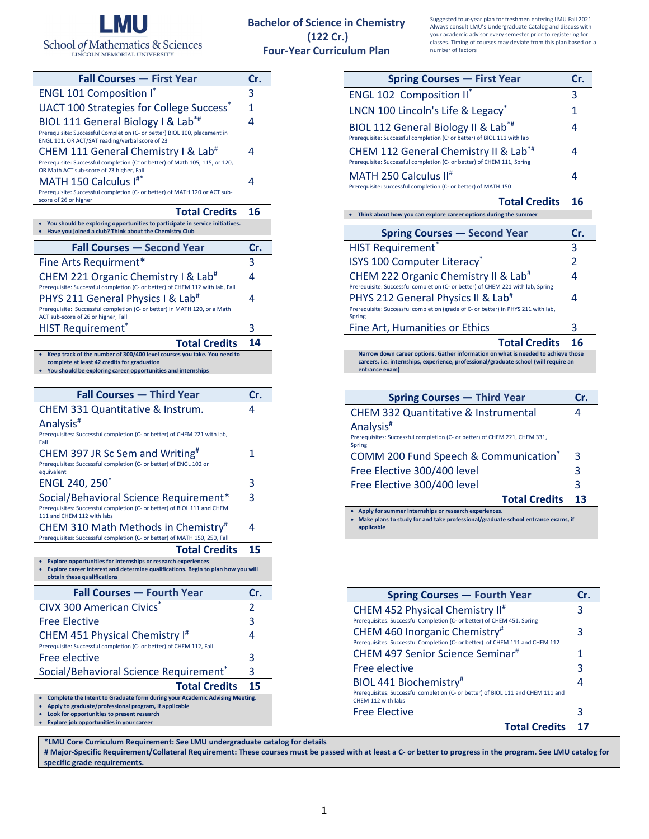

LINCOLN MEMORIAL UNIVERSITY

## **Bachelor of Science in Chemistry (122 Cr.) Four‐Year Curriculum Plan**

Suggested four‐year plan for freshmen entering LMU Fall 2021. Always consult LMU's Undergraduate Catalog and discuss with your academic advisor every semester prior to registering for classes. Timing of courses may deviate from this plan based on a number of factors

 $\Delta$ 

4

4

**Total Credits 16**

**Spring Courses — First Year Cr.**

**Spring Courses — Second Year Cr.**

HIST Requirement<sup>\*</sup> 3

ENGL 102 Composition II<sup>\*</sup> 3 LNCN 100 Lincoln's Life & Legacy<sup>\*</sup> 1

BIOL 112 General Biology II & Lab\*# Prerequisite: Successful completion (C‐ or better) of BIOL 111 with lab

Prerequisite: successful completion (C‐ or better) of MATH 150

MATH 250 Calculus II#

CHEM 112 General Chemistry II & Lab\*# Prerequisite: Successful completion (C‐ or better) of CHEM 111, Spring

**Think about how you can explore career options during the summer**

| <b>Fall Courses - First Year</b>                                                                                                                                                   | Cr.     |
|------------------------------------------------------------------------------------------------------------------------------------------------------------------------------------|---------|
| <b>ENGL 101 Composition I</b>                                                                                                                                                      | 3       |
| UACT 100 Strategies for College Success <sup>®</sup>                                                                                                                               | 1       |
| BIOL 111 General Biology I & Lab <sup>*#</sup>                                                                                                                                     | 4       |
| Prerequisite: Successful Completion (C- or better) BIOL 100, placement in<br>ENGL 101, OR ACT/SAT reading/verbal score of 23                                                       |         |
| CHEM 111 General Chemistry I & Lab <sup>#</sup><br>Prerequisite: Successful completion (C- or better) of Math 105, 115, or 120,                                                    | 4       |
| OR Math ACT sub-score of 23 higher, Fall<br>MATH 150 Calculus I#*<br>Prerequisite: Successful completion (C- or better) of MATH 120 or ACT sub-                                    | 4       |
| score of 26 or higher                                                                                                                                                              |         |
| <b>Total Credits</b>                                                                                                                                                               | 16      |
| You should be exploring opportunities to participate in service initiatives.<br>Have you joined a club? Think about the Chemistry Club                                             |         |
| <b>Fall Courses - Second Year</b>                                                                                                                                                  | Cr.     |
| Fine Arts Requirment*                                                                                                                                                              | 3       |
| CHEM 221 Organic Chemistry I & Lab <sup>#</sup>                                                                                                                                    | 4       |
| Prerequisite: Successful completion (C- or better) of CHEM 112 with lab, Fall<br>PHYS 211 General Physics I & Lab <sup>#</sup>                                                     | 4       |
| Prerequisite: Successful completion (C- or better) in MATH 120, or a Math                                                                                                          |         |
| ACT sub-score of 26 or higher, Fall                                                                                                                                                |         |
| <b>HIST Requirement</b> *                                                                                                                                                          | 3       |
| <b>Total Credits</b><br>Keep track of the number of 300/400 level courses you take. You need to                                                                                    | 14      |
| complete at least 42 credits for graduation<br>You should be exploring career opportunities and internships                                                                        |         |
|                                                                                                                                                                                    |         |
|                                                                                                                                                                                    |         |
| <b>Fall Courses - Third Year</b>                                                                                                                                                   | Cr.     |
| CHEM 331 Quantitative & Instrum.                                                                                                                                                   | 4       |
| Analysis <sup>#</sup>                                                                                                                                                              |         |
| Prerequisites: Successful completion (C- or better) of CHEM 221 with lab,                                                                                                          |         |
| Fall                                                                                                                                                                               | 1       |
| CHEM 397 JR Sc Sem and Writing <sup>#</sup><br>Prerequisites: Successful completion (C- or better) of ENGL 102 or                                                                  |         |
| equivalent                                                                                                                                                                         | 3       |
| ENGL 240, 250*                                                                                                                                                                     | 3       |
| Social/Behavioral Science Requirement*<br>Prerequisites: Successful completion (C- or better) of BIOL 111 and CHEM                                                                 |         |
| 111 and CHEM 112 with labs                                                                                                                                                         |         |
| CHEM 310 Math Methods in Chemistry <sup>#</sup><br>Prerequisites: Successful completion (C- or better) of MATH 150, 250, Fall                                                      | 4       |
| <b>Total Credits</b>                                                                                                                                                               | 15      |
| • Explore opportunities for internships or research experiences<br>Explore career interest and determine qualifications. Begin to plan how you will<br>obtain these qualifications |         |
| <b>Fall Courses - Fourth Year</b>                                                                                                                                                  | Cr.     |
| <b>CIVX 300 American Civics</b> *                                                                                                                                                  | 2       |
| <b>Free Elective</b>                                                                                                                                                               | 3       |
| CHEM 451 Physical Chemistry I#                                                                                                                                                     | 4       |
| Prerequisite: Successful completion (C- or better) of CHEM 112, Fall                                                                                                               |         |
| Free elective                                                                                                                                                                      | 3       |
| Social/Behavioral Science Requirement <sup>*</sup><br><b>Total Credits</b>                                                                                                         | 3<br>15 |

| ISYS 100 Computer Literacy <sup>*</sup>                                                                                                                                                                                          | $\mathfrak{p}$ |
|----------------------------------------------------------------------------------------------------------------------------------------------------------------------------------------------------------------------------------|----------------|
| CHEM 222 Organic Chemistry II & Lab <sup>#</sup>                                                                                                                                                                                 |                |
| Prerequisite: Successful completion (C- or better) of CHEM 221 with lab, Spring<br>PHYS 212 General Physics II & Lab <sup>#</sup><br>Prerequisite: Successful completion (grade of C- or better) in PHYS 211 with lab,<br>Spring | 4              |
| Fine Art, Humanities or Ethics                                                                                                                                                                                                   | 3              |
| <b>Total Credits</b>                                                                                                                                                                                                             | 16             |
| Narrow down career options. Gather information on what is needed to achieve those<br>careers, i.e. internships, experience, professional/graduate school (will require an<br>entrance exam)                                      |                |
|                                                                                                                                                                                                                                  |                |
|                                                                                                                                                                                                                                  |                |
| <b>Spring Courses – Third Year</b>                                                                                                                                                                                               | Cr.            |
| <b>CHEM 332 Quantitative &amp; Instrumental</b>                                                                                                                                                                                  | 4              |
| Analysis <sup>#</sup>                                                                                                                                                                                                            |                |
| Prerequisites: Successful completion (C- or better) of CHEM 221, CHEM 331,<br><b>Spring</b>                                                                                                                                      |                |

| <b>Total Credits 13</b>               |   |
|---------------------------------------|---|
| Free Elective 300/400 level           |   |
| Free Elective 300/400 level           | 3 |
| COMM 200 Fund Speech & Communication* | 3 |

 **Apply for summer internships or research experiences. Make plans to study for and take professional/graduate school entrance exams, if applicable**

| <b>Spring Courses - Fourth Year</b>                                                                    | Cr. |
|--------------------------------------------------------------------------------------------------------|-----|
| CHEM 452 Physical Chemistry II <sup>#</sup>                                                            | 3   |
| Prerequisites: Successful Completion (C- or better) of CHEM 451, Spring                                |     |
| CHEM 460 Inorganic Chemistry#                                                                          | 3   |
| Prerequisites: Successful Completion (C- or better) of CHEM 111 and CHEM 112                           |     |
| CHEM 497 Senior Science Seminar <sup>#</sup>                                                           |     |
| Free elective                                                                                          | 3   |
| BIOL 441 Biochemistry#                                                                                 |     |
| Prerequisites: Successful completion (C- or better) of BIOL 111 and CHEM 111 and<br>CHEM 112 with labs |     |
| <b>Free Elective</b>                                                                                   | З   |
| <b>Total Credits</b>                                                                                   |     |

**\*LMU Core Curriculum Requirement: See LMU undergraduate catalog for details** 

**Complete the Intent to Graduate form during your Academic Advising Meeting.**

 **Apply to graduate/professional program, if applicable Look for opportunities to present research Explore job opportunities in your career**

# Major-Specific Requirement/Collateral Requirement: These courses must be passed with at least a C- or better to progress in the program. See LMU catalog for **specific grade requirements.**